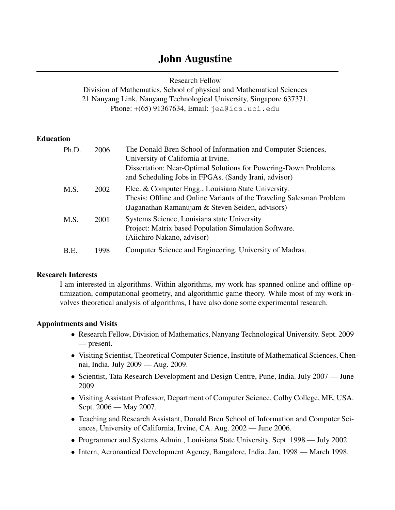# John Augustine

Research Fellow

Division of Mathematics, School of physical and Mathematical Sciences 21 Nanyang Link, Nanyang Technological University, Singapore 637371. Phone: +(65) 91367634, Email: jea@ics.uci.edu

### **Education**

| Ph.D. | 2006 | The Donald Bren School of Information and Computer Sciences,<br>University of California at Irvine.<br>Dissertation: Near-Optimal Solutions for Powering-Down Problems<br>and Scheduling Jobs in FPGAs. (Sandy Irani, advisor) |
|-------|------|--------------------------------------------------------------------------------------------------------------------------------------------------------------------------------------------------------------------------------|
| M.S.  | 2002 | Elec. & Computer Engg., Louisiana State University.<br>Thesis: Offline and Online Variants of the Traveling Salesman Problem<br>(Jaganathan Ramanujam & Steven Seiden, advisors)                                               |
| M.S.  | 2001 | Systems Science, Louisiana state University<br>Project: Matrix based Population Simulation Software.<br>(Aiichiro Nakano, advisor)                                                                                             |
| B.E.  | 1998 | Computer Science and Engineering, University of Madras.                                                                                                                                                                        |

#### Research Interests

I am interested in algorithms. Within algorithms, my work has spanned online and offline optimization, computational geometry, and algorithmic game theory. While most of my work involves theoretical analysis of algorithms, I have also done some experimental research.

#### Appointments and Visits

- Research Fellow, Division of Mathematics, Nanyang Technological University. Sept. 2009 — present.
- Visiting Scientist, Theoretical Computer Science, Institute of Mathematical Sciences, Chennai, India. July 2009 — Aug. 2009.
- Scientist, Tata Research Development and Design Centre, Pune, India. July 2007 June 2009.
- Visiting Assistant Professor, Department of Computer Science, Colby College, ME, USA. Sept. 2006 — May 2007.
- Teaching and Research Assistant, Donald Bren School of Information and Computer Sciences, University of California, Irvine, CA. Aug. 2002 — June 2006.
- Programmer and Systems Admin., Louisiana State University. Sept. 1998 July 2002.
- Intern, Aeronautical Development Agency, Bangalore, India. Jan. 1998 March 1998.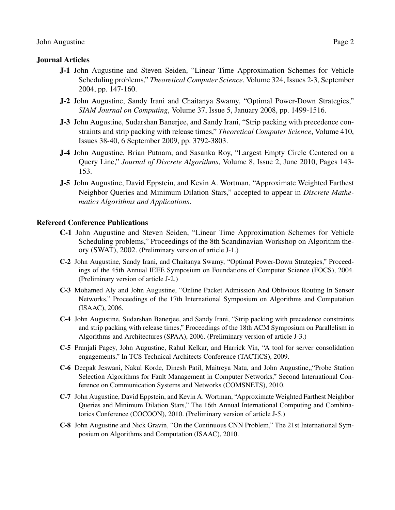#### Journal Articles

- J-1 John Augustine and Steven Seiden, "Linear Time Approximation Schemes for Vehicle Scheduling problems," *Theoretical Computer Science*, Volume 324, Issues 2-3, September 2004, pp. 147-160.
- J-2 John Augustine, Sandy Irani and Chaitanya Swamy, "Optimal Power-Down Strategies," *SIAM Journal on Computing*, Volume 37, Issue 5, January 2008, pp. 1499-1516.
- J-3 John Augustine, Sudarshan Banerjee, and Sandy Irani, "Strip packing with precedence constraints and strip packing with release times," *Theoretical Computer Science*, Volume 410, Issues 38-40, 6 September 2009, pp. 3792-3803.
- J-4 John Augustine, Brian Putnam, and Sasanka Roy, "Largest Empty Circle Centered on a Query Line," *Journal of Discrete Algorithms*, Volume 8, Issue 2, June 2010, Pages 143- 153.
- J-5 John Augustine, David Eppstein, and Kevin A. Wortman, "Approximate Weighted Farthest Neighbor Queries and Minimum Dilation Stars," accepted to appear in *Discrete Mathematics Algorithms and Applications*.

#### Refereed Conference Publications

- C-1 John Augustine and Steven Seiden, "Linear Time Approximation Schemes for Vehicle Scheduling problems," Proceedings of the 8th Scandinavian Workshop on Algorithm theory (SWAT), 2002. (Preliminary version of article J-1.)
- C-2 John Augustine, Sandy Irani, and Chaitanya Swamy, "Optimal Power-Down Strategies," Proceedings of the 45th Annual IEEE Symposium on Foundations of Computer Science (FOCS), 2004. (Preliminary version of article J-2.)
- C-3 Mohamed Aly and John Augustine, "Online Packet Admission And Oblivious Routing In Sensor Networks," Proceedings of the 17th International Symposium on Algorithms and Computation (ISAAC), 2006.
- C-4 John Augustine, Sudarshan Banerjee, and Sandy Irani, "Strip packing with precedence constraints and strip packing with release times," Proceedings of the 18th ACM Symposium on Parallelism in Algorithms and Architectures (SPAA), 2006. (Preliminary version of article J-3.)
- C-5 Pranjali Pagey, John Augustine, Rahul Kelkar, and Harrick Vin, "A tool for server consolidation engagements," In TCS Technical Architects Conference (TACTiCS), 2009.
- C-6 Deepak Jeswani, Nakul Korde, Dinesh Patil, Maitreya Natu, and John Augustine,,"Probe Station Selection Algorithms for Fault Management in Computer Networks," Second International Conference on Communication Systems and Networks (COMSNETS), 2010.
- C-7 John Augustine, David Eppstein, and Kevin A. Wortman, "Approximate Weighted Farthest Neighbor Queries and Minimum Dilation Stars," The 16th Annual International Computing and Combinatorics Conference (COCOON), 2010. (Preliminary version of article J-5.)
- C-8 John Augustine and Nick Gravin, "On the Continuous CNN Problem," The 21st International Symposium on Algorithms and Computation (ISAAC), 2010.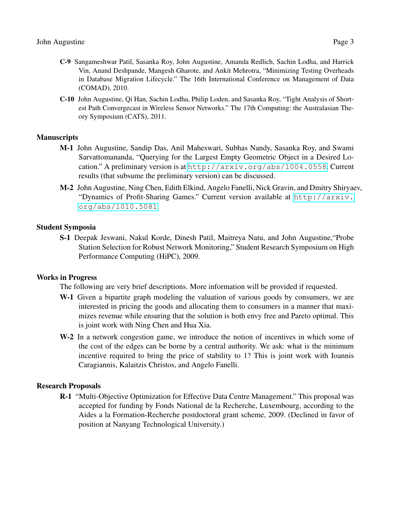- C-9 Sangameshwar Patil, Sasanka Roy, John Augustine, Amanda Redlich, Sachin Lodha, and Harrick Vin, Anand Deshpande, Mangesh Gharote, and Ankit Mehrotra, "Minimizing Testing Overheads in Database Migration Lifecycle." The 16th International Conference on Management of Data (COMAD), 2010.
- C-10 John Augustine, Qi Han, Sachin Lodha, Philip Loden, and Sasanka Roy, "Tight Analysis of Shortest Path Convergecast in Wireless Sensor Networks." The 17th Computing: the Australasian Theory Symposium (CATS), 2011.

### **Manuscripts**

- M-1 John Augustine, Sandip Das, Anil Maheswari, Subhas Nandy, Sasanka Roy, and Swami Sarvattomananda, "Querying for the Largest Empty Geometric Object in a Desired Location." A preliminary version is at <http://arxiv.org/abs/1004.0558>. Current results (that subsume the preliminary version) can be discussed.
- M-2 John Augustine, Ning Chen, Edith Elkind, Angelo Fanelli, Nick Gravin, and Dmitry Shiryaev, "Dynamics of Profit-Sharing Games." Current version available at [http://arxiv.](http://arxiv.org/abs/1010.5081) [org/abs/1010.5081](http://arxiv.org/abs/1010.5081).

### Student Symposia

S-1 Deepak Jeswani, Nakul Korde, Dinesh Patil, Maitreya Natu, and John Augustine,"Probe Station Selection for Robust Network Monitoring," Student Research Symposium on High Performance Computing (HiPC), 2009.

#### Works in Progress

The following are very brief descriptions. More information will be provided if requested.

- W-1 Given a bipartite graph modeling the valuation of various goods by consumers, we are interested in pricing the goods and allocating them to consumers in a manner that maximizes revenue while ensuring that the solution is both envy free and Pareto optimal. This is joint work with Ning Chen and Hua Xia.
- W-2 In a network congestion game, we introduce the notion of incentives in which some of the cost of the edges can be borne by a central authority. We ask: what is the minimum incentive required to bring the price of stability to 1? This is joint work with Ioannis Caragiannis, Kalaitzis Christos, and Angelo Fanelli.

## Research Proposals

R-1 "Multi-Objective Optimization for Effective Data Centre Management." This proposal was accepted for funding by Fonds National de la Recherche, Luxembourg, according to the Aides a la Formation-Recherche postdoctoral grant scheme, 2009. (Declined in favor of position at Nanyang Technological University.)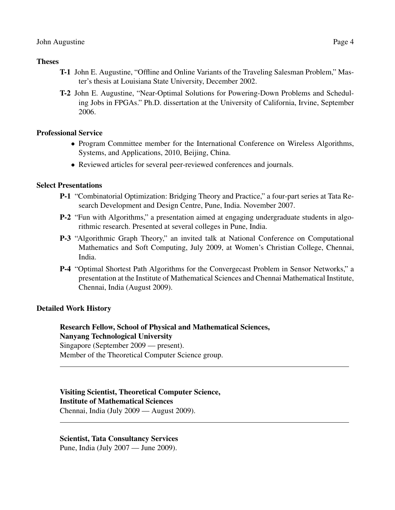#### **Theses**

- T-1 John E. Augustine, "Offline and Online Variants of the Traveling Salesman Problem," Master's thesis at Louisiana State University, December 2002.
- T-2 John E. Augustine, "Near-Optimal Solutions for Powering-Down Problems and Scheduling Jobs in FPGAs." Ph.D. dissertation at the University of California, Irvine, September 2006.

### Professional Service

- Program Committee member for the International Conference on Wireless Algorithms, Systems, and Applications, 2010, Beijing, China.
- Reviewed articles for several peer-reviewed conferences and journals.

### Select Presentations

- P-1 "Combinatorial Optimization: Bridging Theory and Practice," a four-part series at Tata Research Development and Design Centre, Pune, India. November 2007.
- P-2 "Fun with Algorithms," a presentation aimed at engaging undergraduate students in algorithmic research. Presented at several colleges in Pune, India.
- P-3 "Algorithmic Graph Theory," an invited talk at National Conference on Computational Mathematics and Soft Computing, July 2009, at Women's Christian College, Chennai, India.
- P-4 "Optimal Shortest Path Algorithms for the Convergecast Problem in Sensor Networks," a presentation at the Institute of Mathematical Sciences and Chennai Mathematical Institute, Chennai, India (August 2009).

## Detailed Work History

## Research Fellow, School of Physical and Mathematical Sciences, Nanyang Technological University

Singapore (September 2009 — present). Member of the Theoretical Computer Science group.

## Visiting Scientist, Theoretical Computer Science,

Institute of Mathematical Sciences

Chennai, India (July 2009 — August 2009).

#### Scientist, Tata Consultancy Services

Pune, India (July 2007 — June 2009).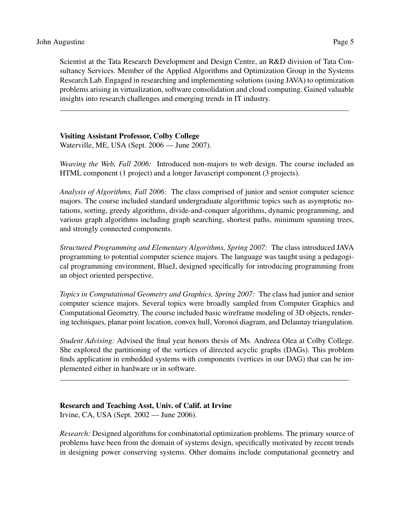Scientist at the Tata Research Development and Design Centre, an R&D division of Tata Consultancy Services. Member of the Applied Algorithms and Optimization Group in the Systems Research Lab. Engaged in researching and implementing solutions (using JAVA) to optimization problems arising in virtualization, software consolidation and cloud computing. Gained valuable insights into research challenges and emerging trends in IT industry.

#### Visiting Assistant Professor, Colby College

Waterville, ME, USA (Sept. 2006 — June 2007).

*Weaving the Web, Fall 2006:* Introduced non-majors to web design. The course included an HTML component (1 project) and a longer Javascript component (3 projects).

*Analysis of Algorithms, Fall 2006:* The class comprised of junior and senior computer science majors. The course included standard undergraduate algorithmic topics such as asymptotic notations, sorting, greedy algorithms, divide-and-conquer algorithms, dynamic programming, and various graph algorithms including graph searching, shortest paths, minimum spanning trees, and strongly connected components.

*Structured Programming and Elementary Algorithms, Spring 2007:* The class introduced JAVA programming to potential computer science majors. The language was taught using a pedagogical programming environment, BlueJ, designed specifically for introducing programming from an object oriented perspective.

*Topics in Computational Geometry and Graphics, Spring 2007:* The class had junior and senior computer science majors. Several topics were broadly sampled from Computer Graphics and Computational Geometry. The course included basic wireframe modeling of 3D objects, rendering techniques, planar point location, convex hull, Voronoi diagram, and Delaunay triangulation.

*Student Advising:* Advised the final year honors thesis of Ms. Andreea Olea at Colby College. She explored the partitioning of the vertices of directed acyclic graphs (DAGs). This problem finds application in embedded systems with components (vertices in our DAG) that can be implemented either in hardware or in software.

## Research and Teaching Asst, Univ. of Calif. at Irvine

Irvine, CA, USA (Sept. 2002 — June 2006).

*Research:* Designed algorithms for combinatorial optimization problems. The primary source of problems have been from the domain of systems design, specifically motivated by recent trends in designing power conserving systems. Other domains include computational geometry and